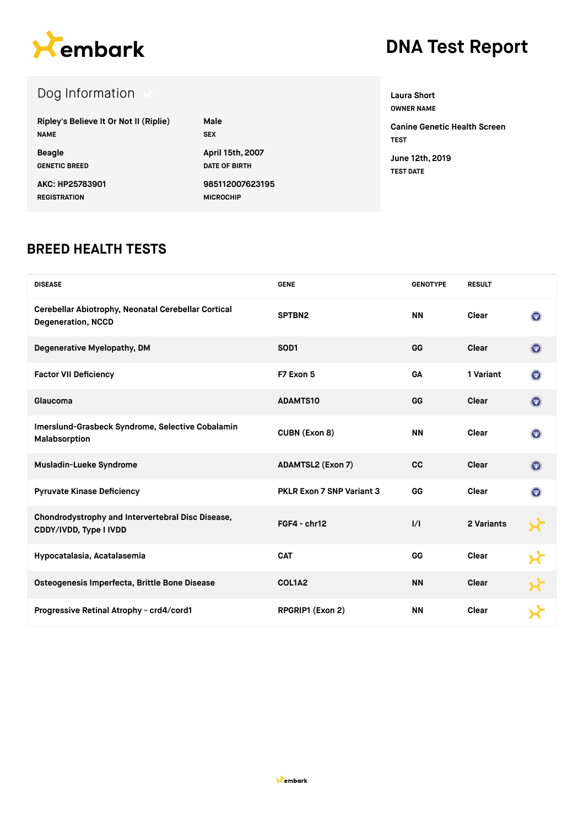

## **DNA Test Report**

| Dog Information                        |                      |
|----------------------------------------|----------------------|
| Ripley's Believe It Or Not II (Riplie) | Male                 |
| <b>NAME</b>                            | <b>SEX</b>           |
| <b>Beagle</b>                          | April 15th, 2007     |
| <b>GENETIC BREED</b>                   | <b>DATE OF BIRTH</b> |
| AKC: HP25783901                        | 985112007623195      |
| <b>REGISTRATION</b>                    | <b>MICROCHIP</b>     |

**OWNER NAME Canine Genetic Health Screen TEST June 12th, 2019 TEST DATE**

**Laura Short**

#### **BREED HEALTH TESTS**

| <b>DISEASE</b>                                                                   | <b>GENE</b>                      | <b>GENOTYPE</b> | <b>RESULT</b> |                           |
|----------------------------------------------------------------------------------|----------------------------------|-----------------|---------------|---------------------------|
| Cerebellar Abiotrophy, Neonatal Cerebellar Cortical<br><b>Degeneration, NCCD</b> | SPTBN2                           | <b>NN</b>       | Clear         | $(\Psi)$                  |
| Degenerative Myelopathy, DM                                                      | SOD <sub>1</sub>                 | GG              | Clear         | $(\mathbf{w})$            |
| <b>Factor VII Deficiency</b>                                                     | F7 Exon 5                        | GA              | 1 Variant     | $(\mathbf{w})$            |
| Glaucoma                                                                         | <b>ADAMTS10</b>                  | GG              | Clear         | $(\overline{\mathbf{w}})$ |
| Imerslund-Grasbeck Syndrome, Selective Cobalamin<br>Malabsorption                | CUBN (Exon 8)                    | <b>NN</b>       | Clear         | $(\Psi)$                  |
| Musladin-Lueke Syndrome                                                          | <b>ADAMTSL2 (Exon 7)</b>         | <b>CC</b>       | Clear         | $\left( \nabla \right)$   |
| <b>Pyruvate Kinase Deficiency</b>                                                | <b>PKLR Exon 7 SNP Variant 3</b> | GG              | Clear         | $\circledcirc$            |
| Chondrodystrophy and Intervertebral Disc Disease,<br>CDDY/IVDD, Type I IVDD      | $FGF4 - chr12$                   | 1/1             | 2 Variants    |                           |
| Hypocatalasia, Acatalasemia                                                      | <b>CAT</b>                       | GG              | Clear         |                           |
| Osteogenesis Imperfecta, Brittle Bone Disease                                    | COL1A2                           | <b>NN</b>       | Clear         |                           |
| Progressive Retinal Atrophy - crd4/cord1                                         | RPGRIP1 (Exon 2)                 | <b>NN</b>       | Clear         |                           |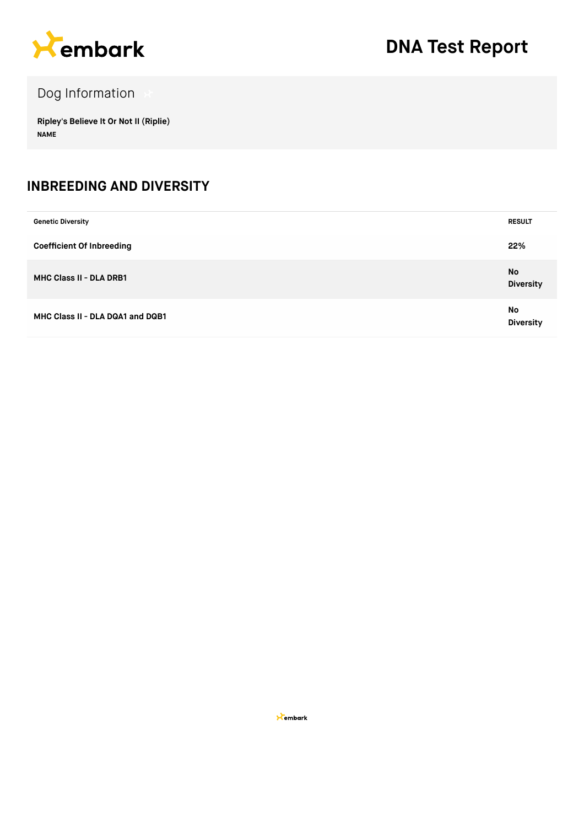

### Dog Information

**Ripley's Believe It Or Not II (Riplie) NAME**

#### **INBREEDING AND DIVERSITY**

| <b>Genetic Diversity</b>         | <b>RESULT</b>          |
|----------------------------------|------------------------|
| <b>Coefficient Of Inbreeding</b> | 22%                    |
| MHC Class II - DLA DRB1          | No<br><b>Diversity</b> |
| MHC Class II - DLA DQA1 and DQB1 | No<br><b>Diversity</b> |

**X**embark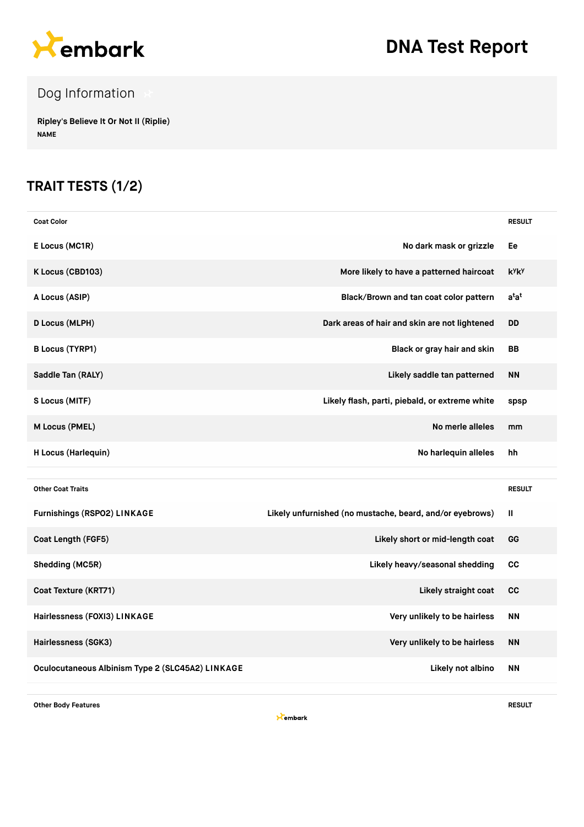

# **DNA Test Report**

### Dog Information

**Ripley's Believe It Or Not II (Riplie) NAME**

#### **TRAIT TESTS (1/2)**

| <b>Coat Color</b>            |                                                          | <b>RESULT</b>            |
|------------------------------|----------------------------------------------------------|--------------------------|
| E Locus (MC1R)               | No dark mask or grizzle                                  | Ee                       |
| K Locus (CBD103)             | More likely to have a patterned haircoat                 | <b>k</b> yk <sub>y</sub> |
| A Locus (ASIP)               | Black/Brown and tan coat color pattern                   | $a^{t}a^{t}$             |
| <b>D Locus (MLPH)</b>        | Dark areas of hair and skin are not lightened            | <b>DD</b>                |
| <b>B Locus (TYRP1)</b>       | Black or gray hair and skin                              | BB                       |
| Saddle Tan (RALY)            | Likely saddle tan patterned                              | <b>NN</b>                |
| S Locus (MITF)               | Likely flash, parti, piebald, or extreme white           | spsp                     |
| M Locus (PMEL)               | No merle alleles                                         | mm                       |
| H Locus (Harlequin)          | No harlequin alleles                                     | hh                       |
|                              |                                                          |                          |
| <b>Other Coat Traits</b>     |                                                          | <b>RESULT</b>            |
| Furnishings (RSPO2) LINKAGE  | Likely unfurnished (no mustache, beard, and/or eyebrows) | Ш                        |
| Coat Length (FGF5)           | Likely short or mid-length coat                          | GG                       |
| Shedding (MC5R)              | Likely heavy/seasonal shedding                           | <b>CC</b>                |
| Coat Texture (KRT71)         | Likely straight coat                                     | cc                       |
|                              |                                                          |                          |
| Hairlessness (FOXI3) LINKAGE | Very unlikely to be hairless                             | <b>NN</b>                |
| Hairlessness (SGK3)          | Very unlikely to be hairless                             | <b>NN</b>                |

**Other Body Features RESULT**

**X**embark